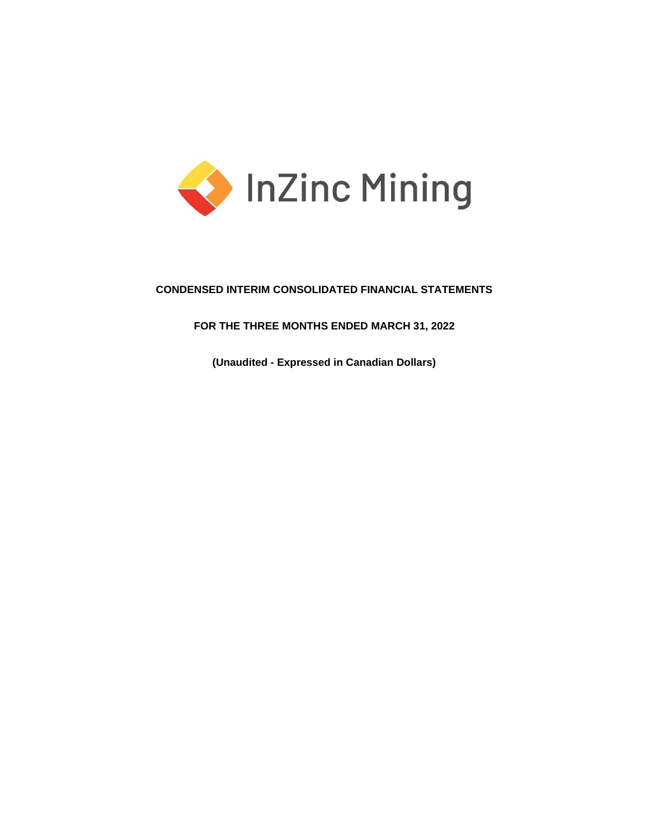

# **CONDENSED INTERIM CONSOLIDATED FINANCIAL STATEMENTS**

# **FOR THE THREE MONTHS ENDED MARCH 31, 2022**

**(Unaudited - Expressed in Canadian Dollars)**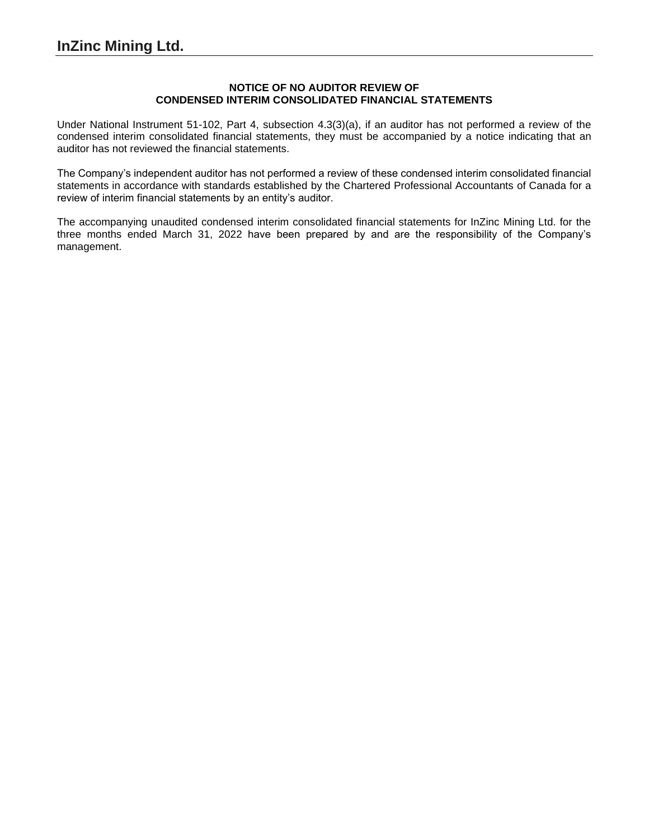## **NOTICE OF NO AUDITOR REVIEW OF CONDENSED INTERIM CONSOLIDATED FINANCIAL STATEMENTS**

Under National Instrument 51-102, Part 4, subsection 4.3(3)(a), if an auditor has not performed a review of the condensed interim consolidated financial statements, they must be accompanied by a notice indicating that an auditor has not reviewed the financial statements.

The Company's independent auditor has not performed a review of these condensed interim consolidated financial statements in accordance with standards established by the Chartered Professional Accountants of Canada for a review of interim financial statements by an entity's auditor.

The accompanying unaudited condensed interim consolidated financial statements for InZinc Mining Ltd. for the three months ended March 31, 2022 have been prepared by and are the responsibility of the Company's management.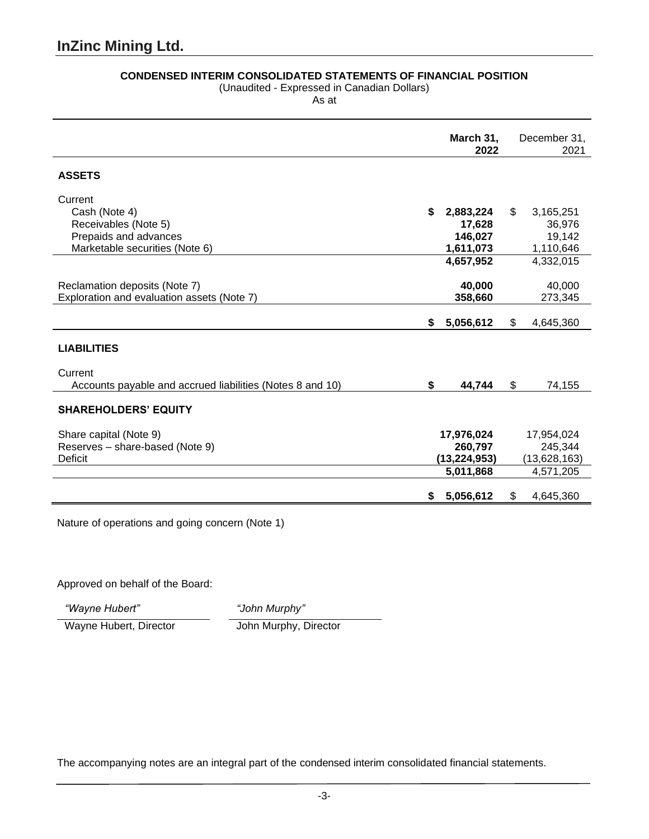# **CONDENSED INTERIM CONSOLIDATED STATEMENTS OF FINANCIAL POSITION**

(Unaudited - Expressed in Canadian Dollars)

As at

|                                                           | March 31,<br>2022 |                |                | December 31,<br>2021 |
|-----------------------------------------------------------|-------------------|----------------|----------------|----------------------|
| <b>ASSETS</b>                                             |                   |                |                |                      |
| Current                                                   |                   |                |                |                      |
| Cash (Note 4)                                             | \$                | 2,883,224      | \$             | 3,165,251            |
| Receivables (Note 5)                                      |                   | 17,628         |                | 36,976               |
| Prepaids and advances                                     |                   | 146,027        |                | 19,142               |
| Marketable securities (Note 6)                            |                   | 1,611,073      |                | 1,110,646            |
|                                                           |                   | 4,657,952      |                | 4,332,015            |
|                                                           |                   |                |                |                      |
| Reclamation deposits (Note 7)                             |                   | 40,000         |                | 40,000               |
| Exploration and evaluation assets (Note 7)                |                   | 358,660        |                | 273,345              |
|                                                           |                   |                |                |                      |
|                                                           | \$                | 5,056,612      | $\mathfrak{L}$ | 4,645,360            |
| <b>LIABILITIES</b>                                        |                   |                |                |                      |
| Current                                                   |                   |                |                |                      |
| Accounts payable and accrued liabilities (Notes 8 and 10) | \$                | 44,744         | \$             | 74,155               |
| <b>SHAREHOLDERS' EQUITY</b>                               |                   |                |                |                      |
| Share capital (Note 9)                                    |                   | 17,976,024     |                | 17,954,024           |
| Reserves - share-based (Note 9)                           |                   | 260,797        |                | 245,344              |
| <b>Deficit</b>                                            |                   | (13, 224, 953) |                | (13,628,163)         |
|                                                           |                   | 5,011,868      |                | 4,571,205            |
|                                                           |                   |                |                |                      |
|                                                           | \$                | 5,056,612      | \$             | 4,645,360            |

Nature of operations and going concern (Note 1)

Approved on behalf of the Board:

*"Wayne Hubert" "John Murphy"*

Wayne Hubert, Director John Murphy, Director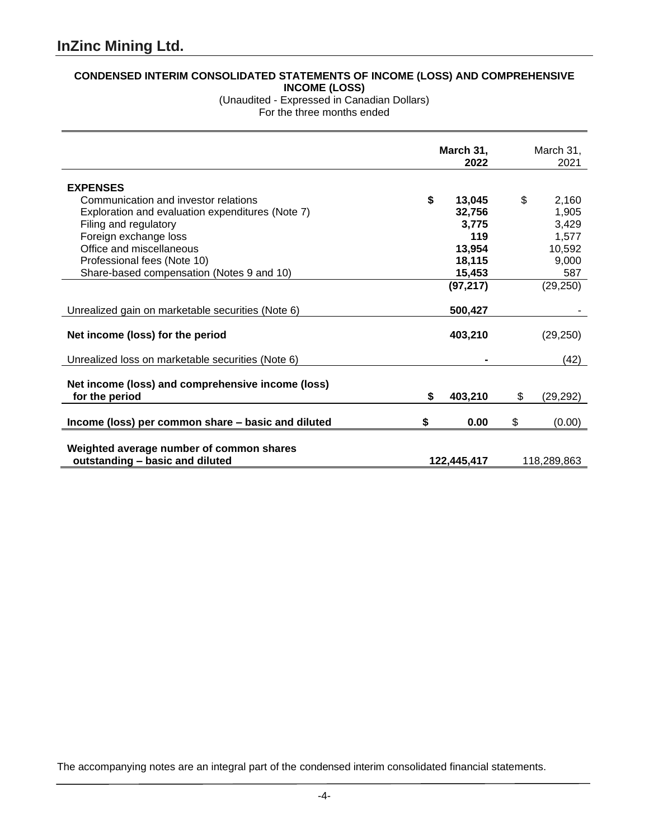# **CONDENSED INTERIM CONSOLIDATED STATEMENTS OF INCOME (LOSS) AND COMPREHENSIVE INCOME (LOSS)**

(Unaudited - Expressed in Canadian Dollars) For the three months ended

|                                                                             |    | March 31,<br>2022 | March 31,<br>2021 |
|-----------------------------------------------------------------------------|----|-------------------|-------------------|
| <b>EXPENSES</b>                                                             |    |                   |                   |
| Communication and investor relations                                        | \$ | 13,045            | \$<br>2,160       |
| Exploration and evaluation expenditures (Note 7)                            |    | 32,756            | 1,905             |
| Filing and regulatory                                                       |    | 3,775             | 3,429             |
| Foreign exchange loss                                                       |    | 119               | 1,577             |
| Office and miscellaneous                                                    |    | 13,954            | 10,592            |
| Professional fees (Note 10)                                                 |    | 18,115            | 9,000             |
| Share-based compensation (Notes 9 and 10)                                   |    | 15,453            | 587               |
|                                                                             |    | (97, 217)         | (29, 250)         |
| Unrealized gain on marketable securities (Note 6)                           |    | 500,427           |                   |
| Net income (loss) for the period                                            |    | 403,210           | (29, 250)         |
| Unrealized loss on marketable securities (Note 6)                           |    |                   | (42)              |
| Net income (loss) and comprehensive income (loss)<br>for the period         | \$ | 403,210           | \$<br>(29, 292)   |
| Income (loss) per common share - basic and diluted                          | S  | 0.00              | \$<br>(0.00)      |
| Weighted average number of common shares<br>outstanding - basic and diluted |    | 122,445,417       | 118,289,863       |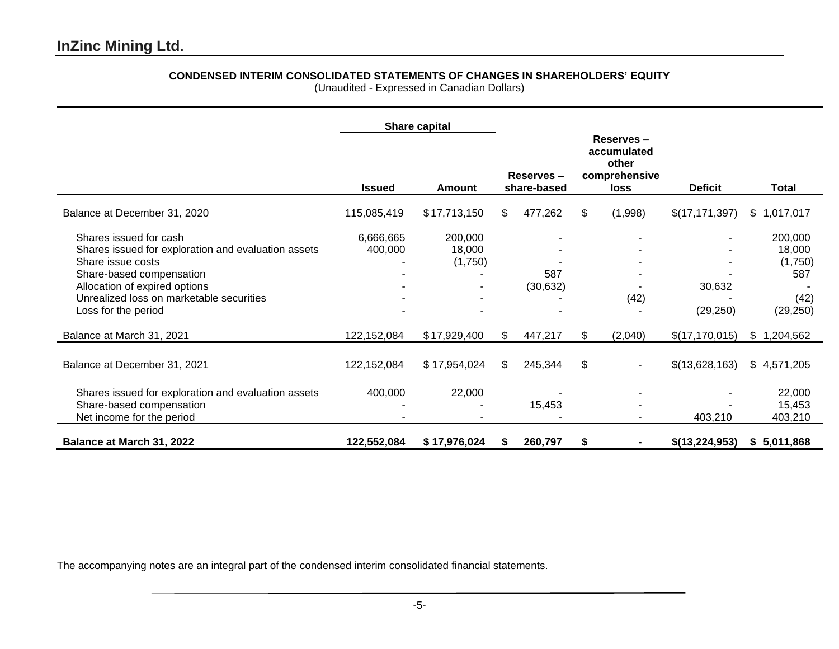# **CONDENSED INTERIM CONSOLIDATED STATEMENTS OF CHANGES IN SHAREHOLDERS' EQUITY**

(Unaudited - Expressed in Canadian Dollars)

|                                                                                                                                                                                                                                    |                      | Share capital                |     |                          |                                                            |                     |                                                          |
|------------------------------------------------------------------------------------------------------------------------------------------------------------------------------------------------------------------------------------|----------------------|------------------------------|-----|--------------------------|------------------------------------------------------------|---------------------|----------------------------------------------------------|
|                                                                                                                                                                                                                                    | <b>Issued</b>        | Amount                       |     | Reserves-<br>share-based | Reserves-<br>accumulated<br>other<br>comprehensive<br>loss | <b>Deficit</b>      | <b>Total</b>                                             |
| Balance at December 31, 2020                                                                                                                                                                                                       | 115,085,419          | \$17,713,150                 | \$  | 477,262                  | \$<br>(1,998)                                              | \$(17, 171, 397)    | \$1,017,017                                              |
| Shares issued for cash<br>Shares issued for exploration and evaluation assets<br>Share issue costs<br>Share-based compensation<br>Allocation of expired options<br>Unrealized loss on marketable securities<br>Loss for the period | 6,666,665<br>400,000 | 200,000<br>18,000<br>(1,750) |     | 587<br>(30, 632)         | (42)                                                       | 30,632<br>(29, 250) | 200,000<br>18,000<br>(1,750)<br>587<br>(42)<br>(29, 250) |
| Balance at March 31, 2021                                                                                                                                                                                                          | 122,152,084          | \$17,929,400                 | \$  | 447,217                  | \$<br>(2,040)                                              | \$(17, 170, 015)    | \$1,204,562                                              |
| Balance at December 31, 2021                                                                                                                                                                                                       | 122,152,084          | \$17,954,024                 | \$. | 245,344                  | \$                                                         | \$(13,628,163)      | \$4,571,205                                              |
| Shares issued for exploration and evaluation assets<br>Share-based compensation<br>Net income for the period                                                                                                                       | 400,000              | 22,000                       |     | 15,453                   |                                                            | 403,210             | 22,000<br>15,453<br>403,210                              |
| Balance at March 31, 2022                                                                                                                                                                                                          | 122,552,084          | \$17,976,024                 | S   | 260,797                  | \$                                                         | \$(13,224,953)      | \$5,011,868                                              |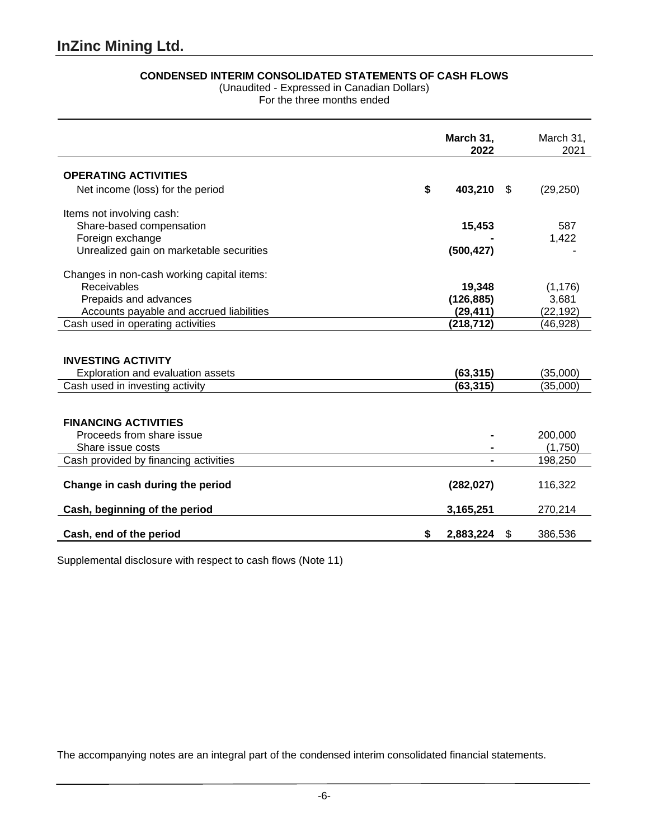# **CONDENSED INTERIM CONSOLIDATED STATEMENTS OF CASH FLOWS**

(Unaudited - Expressed in Canadian Dollars)

For the three months ended

|                                                                | March 31,<br>2022       |    | March 31,<br>2021 |
|----------------------------------------------------------------|-------------------------|----|-------------------|
| <b>OPERATING ACTIVITIES</b>                                    |                         |    |                   |
| Net income (loss) for the period                               | \$<br>403,210           | \$ | (29, 250)         |
| Items not involving cash:                                      |                         |    |                   |
| Share-based compensation                                       | 15,453                  |    | 587               |
| Foreign exchange                                               |                         |    | 1,422             |
| Unrealized gain on marketable securities                       | (500, 427)              |    |                   |
| Changes in non-cash working capital items:                     |                         |    |                   |
| Receivables                                                    | 19,348                  |    | (1, 176)          |
| Prepaids and advances                                          | (126, 885)              |    | 3,681             |
| Accounts payable and accrued liabilities                       | (29, 411)               |    | (22, 192)         |
| Cash used in operating activities                              | (218, 712)              |    | (46,928)          |
| <b>INVESTING ACTIVITY</b><br>Exploration and evaluation assets | (63, 315)               |    | (35,000)          |
| Cash used in investing activity                                | (63, 315)               |    | (35,000)          |
| <b>FINANCING ACTIVITIES</b><br>Proceeds from share issue       |                         |    | 200,000           |
| Share issue costs                                              |                         |    | (1,750)           |
| Cash provided by financing activities                          |                         |    | 198,250           |
| Change in cash during the period                               | (282, 027)<br>3,165,251 |    | 116,322           |
| Cash, beginning of the period                                  |                         |    | 270,214           |
| Cash, end of the period                                        | 2,883,224               | S  | 386,536           |

Supplemental disclosure with respect to cash flows (Note 11)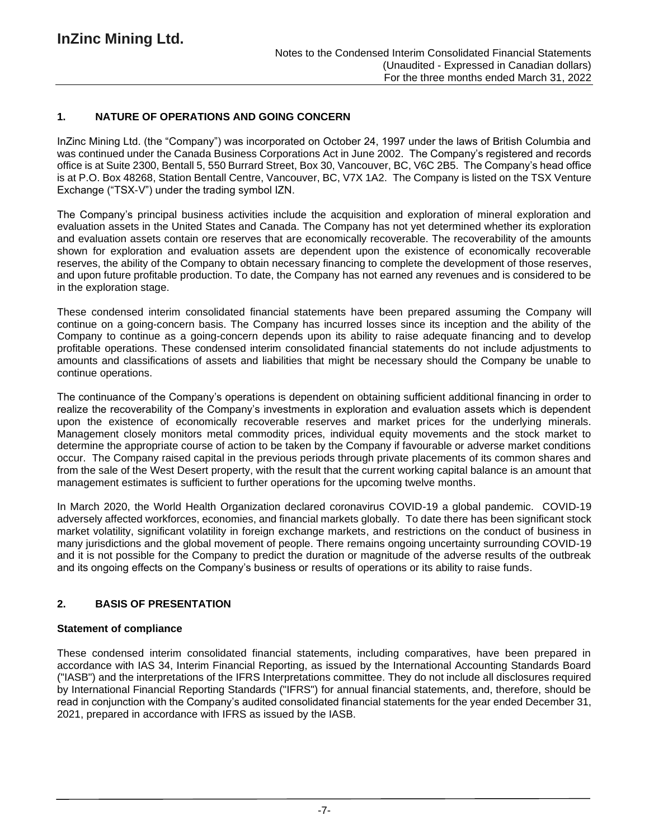# **1. NATURE OF OPERATIONS AND GOING CONCERN**

InZinc Mining Ltd. (the "Company") was incorporated on October 24, 1997 under the laws of British Columbia and was continued under the Canada Business Corporations Act in June 2002. The Company's registered and records office is at Suite 2300, Bentall 5, 550 Burrard Street, Box 30, Vancouver, BC, V6C 2B5. The Company's head office is at P.O. Box 48268, Station Bentall Centre, Vancouver, BC, V7X 1A2. The Company is listed on the TSX Venture Exchange ("TSX-V") under the trading symbol IZN.

The Company's principal business activities include the acquisition and exploration of mineral exploration and evaluation assets in the United States and Canada. The Company has not yet determined whether its exploration and evaluation assets contain ore reserves that are economically recoverable. The recoverability of the amounts shown for exploration and evaluation assets are dependent upon the existence of economically recoverable reserves, the ability of the Company to obtain necessary financing to complete the development of those reserves, and upon future profitable production. To date, the Company has not earned any revenues and is considered to be in the exploration stage.

These condensed interim consolidated financial statements have been prepared assuming the Company will continue on a going-concern basis. The Company has incurred losses since its inception and the ability of the Company to continue as a going-concern depends upon its ability to raise adequate financing and to develop profitable operations. These condensed interim consolidated financial statements do not include adjustments to amounts and classifications of assets and liabilities that might be necessary should the Company be unable to continue operations.

The continuance of the Company's operations is dependent on obtaining sufficient additional financing in order to realize the recoverability of the Company's investments in exploration and evaluation assets which is dependent upon the existence of economically recoverable reserves and market prices for the underlying minerals. Management closely monitors metal commodity prices, individual equity movements and the stock market to determine the appropriate course of action to be taken by the Company if favourable or adverse market conditions occur. The Company raised capital in the previous periods through private placements of its common shares and from the sale of the West Desert property, with the result that the current working capital balance is an amount that management estimates is sufficient to further operations for the upcoming twelve months.

In March 2020, the World Health Organization declared coronavirus COVID-19 a global pandemic. COVID-19 adversely affected workforces, economies, and financial markets globally. To date there has been significant stock market volatility, significant volatility in foreign exchange markets, and restrictions on the conduct of business in many jurisdictions and the global movement of people. There remains ongoing uncertainty surrounding COVID-19 and it is not possible for the Company to predict the duration or magnitude of the adverse results of the outbreak and its ongoing effects on the Company's business or results of operations or its ability to raise funds.

# **2. BASIS OF PRESENTATION**

# **Statement of compliance**

These condensed interim consolidated financial statements, including comparatives, have been prepared in accordance with IAS 34, Interim Financial Reporting, as issued by the International Accounting Standards Board ("IASB") and the interpretations of the IFRS Interpretations committee. They do not include all disclosures required by International Financial Reporting Standards ("IFRS") for annual financial statements, and, therefore, should be read in conjunction with the Company's audited consolidated financial statements for the year ended December 31, 2021, prepared in accordance with IFRS as issued by the IASB.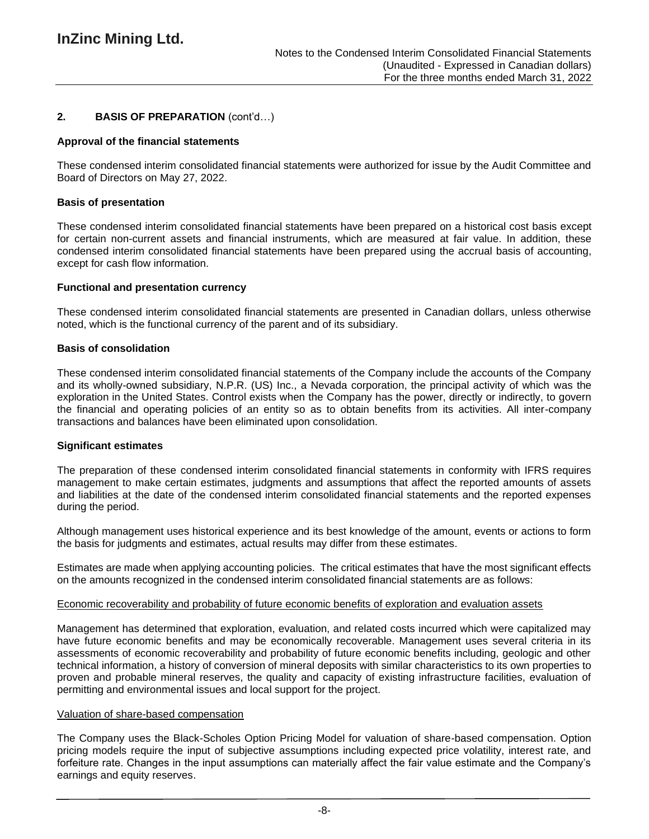## **2. BASIS OF PREPARATION** (cont'd…)

#### **Approval of the financial statements**

These condensed interim consolidated financial statements were authorized for issue by the Audit Committee and Board of Directors on May 27, 2022.

#### **Basis of presentation**

These condensed interim consolidated financial statements have been prepared on a historical cost basis except for certain non-current assets and financial instruments, which are measured at fair value. In addition, these condensed interim consolidated financial statements have been prepared using the accrual basis of accounting, except for cash flow information.

#### **Functional and presentation currency**

These condensed interim consolidated financial statements are presented in Canadian dollars, unless otherwise noted, which is the functional currency of the parent and of its subsidiary.

#### **Basis of consolidation**

These condensed interim consolidated financial statements of the Company include the accounts of the Company and its wholly-owned subsidiary, N.P.R. (US) Inc., a Nevada corporation, the principal activity of which was the exploration in the United States. Control exists when the Company has the power, directly or indirectly, to govern the financial and operating policies of an entity so as to obtain benefits from its activities. All inter-company transactions and balances have been eliminated upon consolidation.

#### **Significant estimates**

The preparation of these condensed interim consolidated financial statements in conformity with IFRS requires management to make certain estimates, judgments and assumptions that affect the reported amounts of assets and liabilities at the date of the condensed interim consolidated financial statements and the reported expenses during the period.

Although management uses historical experience and its best knowledge of the amount, events or actions to form the basis for judgments and estimates, actual results may differ from these estimates.

Estimates are made when applying accounting policies. The critical estimates that have the most significant effects on the amounts recognized in the condensed interim consolidated financial statements are as follows:

#### Economic recoverability and probability of future economic benefits of exploration and evaluation assets

Management has determined that exploration, evaluation, and related costs incurred which were capitalized may have future economic benefits and may be economically recoverable. Management uses several criteria in its assessments of economic recoverability and probability of future economic benefits including, geologic and other technical information, a history of conversion of mineral deposits with similar characteristics to its own properties to proven and probable mineral reserves, the quality and capacity of existing infrastructure facilities, evaluation of permitting and environmental issues and local support for the project.

#### Valuation of share-based compensation

The Company uses the Black-Scholes Option Pricing Model for valuation of share-based compensation. Option pricing models require the input of subjective assumptions including expected price volatility, interest rate, and forfeiture rate. Changes in the input assumptions can materially affect the fair value estimate and the Company's earnings and equity reserves.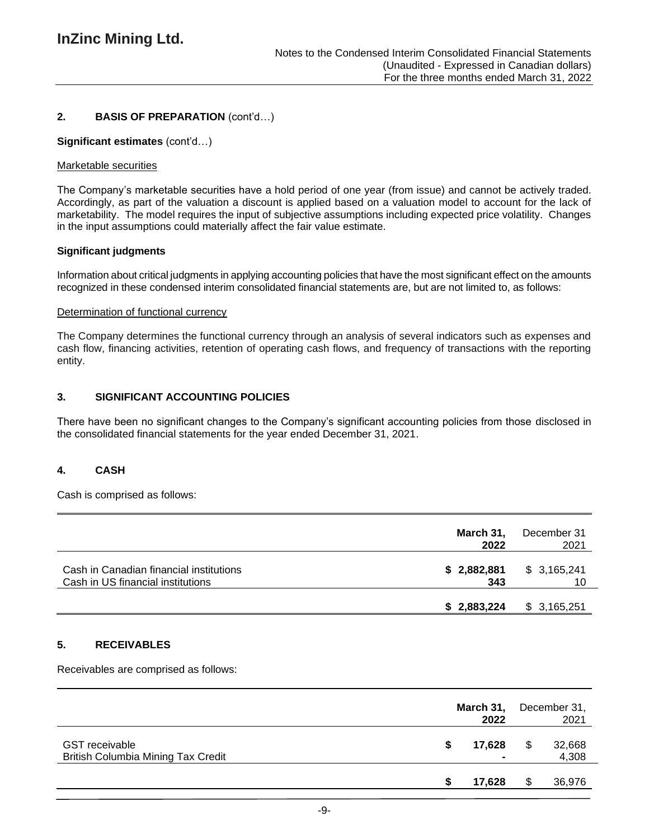# **2. BASIS OF PREPARATION** (cont'd…)

### **Significant estimates** (cont'd…)

### Marketable securities

The Company's marketable securities have a hold period of one year (from issue) and cannot be actively traded. Accordingly, as part of the valuation a discount is applied based on a valuation model to account for the lack of marketability. The model requires the input of subjective assumptions including expected price volatility. Changes in the input assumptions could materially affect the fair value estimate.

### **Significant judgments**

Information about critical judgments in applying accounting policies that have the most significant effect on the amounts recognized in these condensed interim consolidated financial statements are, but are not limited to, as follows:

### Determination of functional currency

The Company determines the functional currency through an analysis of several indicators such as expenses and cash flow, financing activities, retention of operating cash flows, and frequency of transactions with the reporting entity.

### **3. SIGNIFICANT ACCOUNTING POLICIES**

There have been no significant changes to the Company's significant accounting policies from those disclosed in the consolidated financial statements for the year ended December 31, 2021.

# **4. CASH**

Cash is comprised as follows:

|                                                                              | March 31,<br>2022  | December 31<br>2021 |
|------------------------------------------------------------------------------|--------------------|---------------------|
| Cash in Canadian financial institutions<br>Cash in US financial institutions | \$2,882,881<br>343 | \$3,165,241<br>10   |
|                                                                              | \$2,883,224        | \$3,165,251         |

### **5. RECEIVABLES**

Receivables are comprised as follows:

|                                                                    |   | March 31,<br>2022 | December 31,<br>2021 |                 |  |
|--------------------------------------------------------------------|---|-------------------|----------------------|-----------------|--|
| <b>GST</b> receivable<br><b>British Columbia Mining Tax Credit</b> | S | 17,628            | S                    | 32,668<br>4,308 |  |
|                                                                    |   | 17,628            | S                    | 36,976          |  |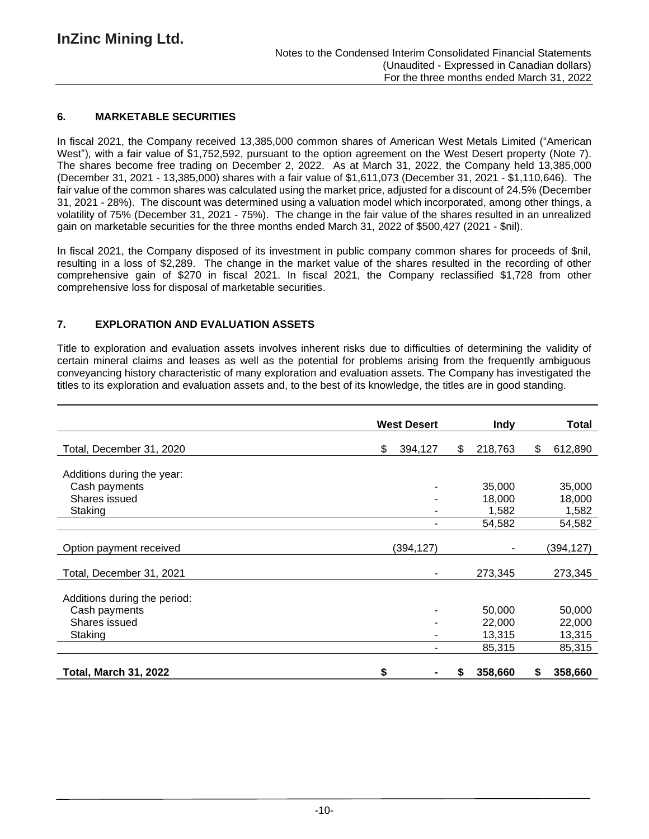## **6. MARKETABLE SECURITIES**

In fiscal 2021, the Company received 13,385,000 common shares of American West Metals Limited ("American West"), with a fair value of \$1,752,592, pursuant to the option agreement on the West Desert property (Note 7). The shares become free trading on December 2, 2022. As at March 31, 2022, the Company held 13,385,000 (December 31, 2021 - 13,385,000) shares with a fair value of \$1,611,073 (December 31, 2021 - \$1,110,646). The fair value of the common shares was calculated using the market price, adjusted for a discount of 24.5% (December 31, 2021 - 28%). The discount was determined using a valuation model which incorporated, among other things, a volatility of 75% (December 31, 2021 - 75%). The change in the fair value of the shares resulted in an unrealized gain on marketable securities for the three months ended March 31, 2022 of \$500,427 (2021 - \$nil).

In fiscal 2021, the Company disposed of its investment in public company common shares for proceeds of \$nil, resulting in a loss of \$2,289. The change in the market value of the shares resulted in the recording of other comprehensive gain of \$270 in fiscal 2021. In fiscal 2021, the Company reclassified \$1,728 from other comprehensive loss for disposal of marketable securities.

# **7. EXPLORATION AND EVALUATION ASSETS**

Title to exploration and evaluation assets involves inherent risks due to difficulties of determining the validity of certain mineral claims and leases as well as the potential for problems arising from the frequently ambiguous conveyancing history characteristic of many exploration and evaluation assets. The Company has investigated the titles to its exploration and evaluation assets and, to the best of its knowledge, the titles are in good standing.

|                              | <b>West Desert</b> |               | Total         |
|------------------------------|--------------------|---------------|---------------|
| Total, December 31, 2020     | \$<br>394,127      | 218,763<br>\$ | \$<br>612,890 |
| Additions during the year:   |                    |               |               |
| Cash payments                |                    | 35,000        | 35,000        |
| Shares issued                |                    | 18,000        | 18,000        |
| Staking                      |                    | 1,582         | 1,582         |
|                              | ۰                  | 54,582        | 54,582        |
|                              |                    |               |               |
| Option payment received      | (394,127)          |               | (394,127)     |
| Total, December 31, 2021     |                    | 273,345       | 273,345       |
| Additions during the period: |                    |               |               |
| Cash payments                |                    | 50,000        | 50,000        |
| Shares issued                |                    | 22,000        | 22,000        |
| Staking                      |                    | 13,315        | 13,315        |
|                              |                    | 85,315        | 85,315        |
| <b>Total, March 31, 2022</b> | \$                 | 358,660       | 358,660<br>\$ |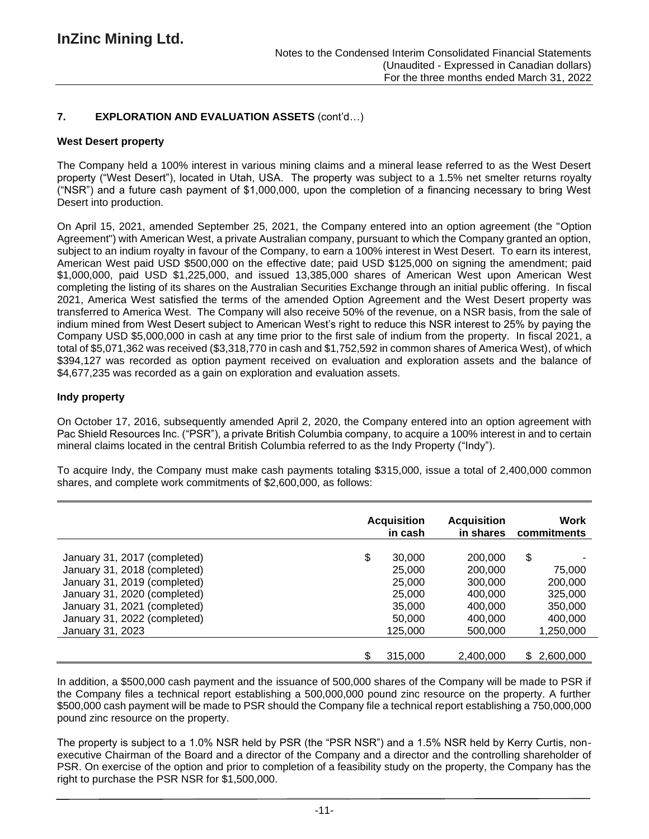# **7. EXPLORATION AND EVALUATION ASSETS** (cont'd…)

### **West Desert property**

The Company held a 100% interest in various mining claims and a mineral lease referred to as the West Desert property ("West Desert"), located in Utah, USA. The property was subject to a 1.5% net smelter returns royalty ("NSR") and a future cash payment of \$1,000,000, upon the completion of a financing necessary to bring West Desert into production.

On April 15, 2021, amended September 25, 2021, the Company entered into an option agreement (the "Option Agreement") with American West, a private Australian company, pursuant to which the Company granted an option, subject to an indium royalty in favour of the Company, to earn a 100% interest in West Desert. To earn its interest, American West paid USD \$500,000 on the effective date; paid USD \$125,000 on signing the amendment; paid \$1,000,000, paid USD \$1,225,000, and issued 13,385,000 shares of American West upon American West completing the listing of its shares on the Australian Securities Exchange through an initial public offering. In fiscal 2021, America West satisfied the terms of the amended Option Agreement and the West Desert property was transferred to America West. The Company will also receive 50% of the revenue, on a NSR basis, from the sale of indium mined from West Desert subject to American West's right to reduce this NSR interest to 25% by paying the Company USD \$5,000,000 in cash at any time prior to the first sale of indium from the property. In fiscal 2021, a total of \$5,071,362 was received (\$3,318,770 in cash and \$1,752,592 in common shares of America West), of which \$394,127 was recorded as option payment received on evaluation and exploration assets and the balance of \$4,677,235 was recorded as a gain on exploration and evaluation assets.

### **Indy property**

On October 17, 2016, subsequently amended April 2, 2020, the Company entered into an option agreement with Pac Shield Resources Inc. ("PSR"), a private British Columbia company, to acquire a 100% interest in and to certain mineral claims located in the central British Columbia referred to as the Indy Property ("Indy").

To acquire Indy, the Company must make cash payments totaling \$315,000, issue a total of 2,400,000 common shares, and complete work commitments of \$2,600,000, as follows:

|                              | <b>Acquisition</b><br>in cash | <b>Acquisition</b><br>in shares | Work<br>commitments |
|------------------------------|-------------------------------|---------------------------------|---------------------|
| January 31, 2017 (completed) | \$<br>30,000                  | 200,000                         | \$                  |
| January 31, 2018 (completed) | 25,000                        | 200,000                         | 75,000              |
| January 31, 2019 (completed) | 25,000                        | 300,000                         | 200,000             |
| January 31, 2020 (completed) | 25,000                        | 400,000                         | 325,000             |
| January 31, 2021 (completed) | 35,000                        | 400.000                         | 350,000             |
| January 31, 2022 (completed) | 50,000                        | 400.000                         | 400,000             |
| January 31, 2023             | 125,000                       | 500,000                         | 1,250,000           |
|                              | \$<br>315,000                 | 2,400,000                       | 2,600,000<br>\$.    |

In addition, a \$500,000 cash payment and the issuance of 500,000 shares of the Company will be made to PSR if the Company files a technical report establishing a 500,000,000 pound zinc resource on the property. A further \$500,000 cash payment will be made to PSR should the Company file a technical report establishing a 750,000,000 pound zinc resource on the property.

The property is subject to a 1.0% NSR held by PSR (the "PSR NSR") and a 1.5% NSR held by Kerry Curtis, nonexecutive Chairman of the Board and a director of the Company and a director and the controlling shareholder of PSR. On exercise of the option and prior to completion of a feasibility study on the property, the Company has the right to purchase the PSR NSR for \$1,500,000.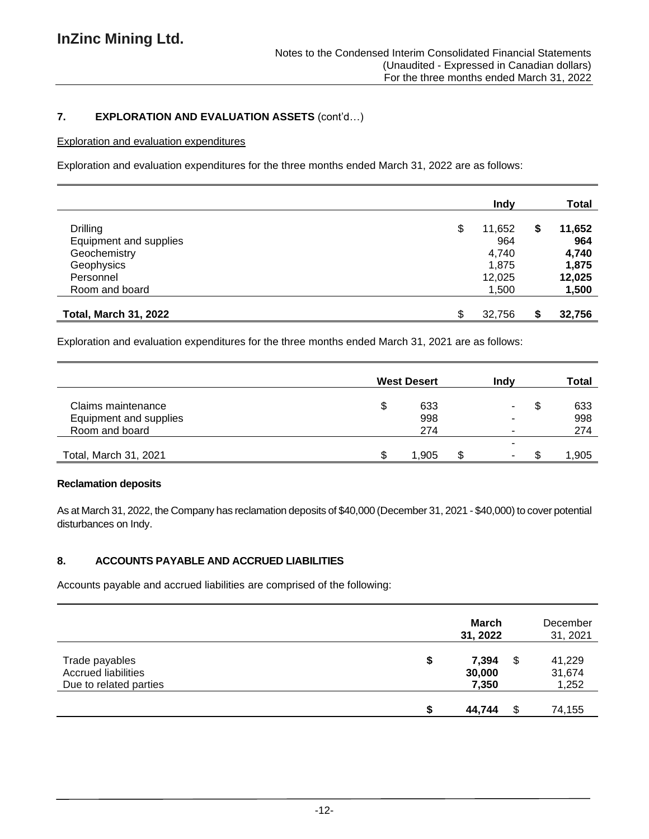# **7. EXPLORATION AND EVALUATION ASSETS** (cont'd…)

## Exploration and evaluation expenditures

Exploration and evaluation expenditures for the three months ended March 31, 2022 are as follows:

|                              | Indy         | <b>Total</b> |
|------------------------------|--------------|--------------|
| <b>Drilling</b>              | \$<br>11,652 | \$<br>11,652 |
| Equipment and supplies       | 964          | 964          |
| Geochemistry                 | 4,740        | 4,740        |
| Geophysics                   | 1,875        | 1,875        |
| Personnel                    | 12,025       | 12,025       |
| Room and board               | 1,500        | 1,500        |
| <b>Total, March 31, 2022</b> | \$<br>32,756 | \$<br>32,756 |

Exploration and evaluation expenditures for the three months ended March 31, 2021 are as follows:

|                        |   | <b>West Desert</b> | Indv | Total     |
|------------------------|---|--------------------|------|-----------|
| Claims maintenance     | Œ | 633                |      | \$<br>633 |
| Equipment and supplies |   | 998                |      | 998       |
| Room and board         |   | 274                |      | 274       |
|                        |   |                    |      |           |
| Total, March 31, 2021  |   | 1.905              |      | 1,905     |

### **Reclamation deposits**

As at March 31, 2022, the Company has reclamation deposits of \$40,000 (December 31, 2021 - \$40,000) to cover potential disturbances on Indy.

# **8. ACCOUNTS PAYABLE AND ACCRUED LIABILITIES**

Accounts payable and accrued liabilities are comprised of the following:

|                                                                        | March<br>31, 2022              |     | December<br>31, 2021      |
|------------------------------------------------------------------------|--------------------------------|-----|---------------------------|
| Trade payables<br><b>Accrued liabilities</b><br>Due to related parties | \$<br>7,394<br>30,000<br>7,350 | \$  | 41,229<br>31,674<br>1,252 |
|                                                                        | 44,744                         | \$. | 74,155                    |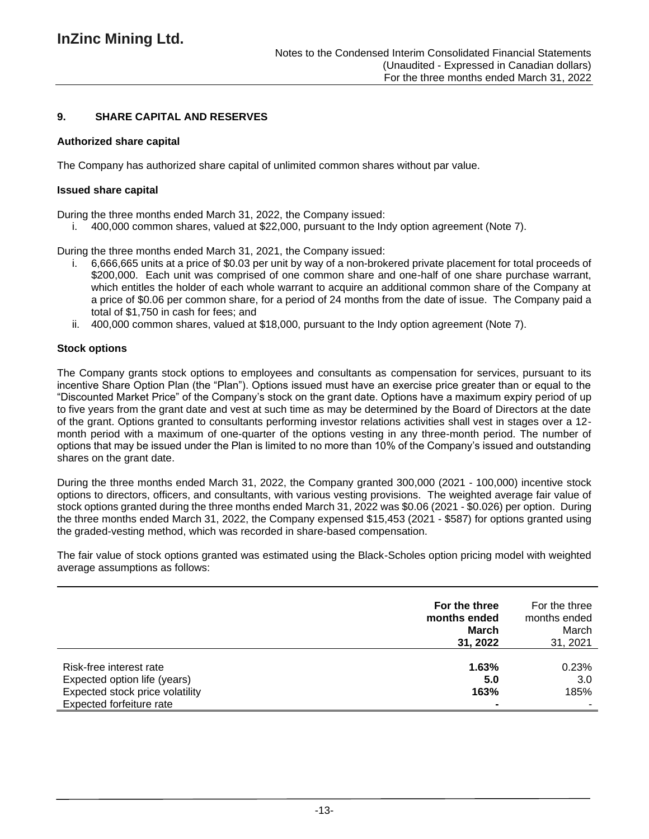### **9. SHARE CAPITAL AND RESERVES**

### **Authorized share capital**

The Company has authorized share capital of unlimited common shares without par value.

#### **Issued share capital**

During the three months ended March 31, 2022, the Company issued:

i. 400,000 common shares, valued at \$22,000, pursuant to the Indy option agreement (Note 7).

During the three months ended March 31, 2021, the Company issued:

- i. 6,666,665 units at a price of \$0.03 per unit by way of a non-brokered private placement for total proceeds of \$200,000. Each unit was comprised of one common share and one-half of one share purchase warrant, which entitles the holder of each whole warrant to acquire an additional common share of the Company at a price of \$0.06 per common share, for a period of 24 months from the date of issue. The Company paid a total of \$1,750 in cash for fees; and
- ii. 400,000 common shares, valued at \$18,000, pursuant to the Indy option agreement (Note 7).

### **Stock options**

The Company grants stock options to employees and consultants as compensation for services, pursuant to its incentive Share Option Plan (the "Plan"). Options issued must have an exercise price greater than or equal to the "Discounted Market Price" of the Company's stock on the grant date. Options have a maximum expiry period of up to five years from the grant date and vest at such time as may be determined by the Board of Directors at the date of the grant. Options granted to consultants performing investor relations activities shall vest in stages over a 12 month period with a maximum of one-quarter of the options vesting in any three-month period. The number of options that may be issued under the Plan is limited to no more than 10% of the Company's issued and outstanding shares on the grant date.

During the three months ended March 31, 2022, the Company granted 300,000 (2021 - 100,000) incentive stock options to directors, officers, and consultants, with various vesting provisions. The weighted average fair value of stock options granted during the three months ended March 31, 2022 was \$0.06 (2021 - \$0.026) per option. During the three months ended March 31, 2022, the Company expensed \$15,453 (2021 - \$587) for options granted using the graded-vesting method, which was recorded in share-based compensation.

The fair value of stock options granted was estimated using the Black-Scholes option pricing model with weighted average assumptions as follows:

|                                                                                                                        | For the three<br>months ended<br><b>March</b><br>31, 2022 | For the three<br>months ended<br>March<br>31, 2021 |
|------------------------------------------------------------------------------------------------------------------------|-----------------------------------------------------------|----------------------------------------------------|
| Risk-free interest rate<br>Expected option life (years)<br>Expected stock price volatility<br>Expected forfeiture rate | 1.63%<br>5.0<br>163%                                      | 0.23%<br>3.0<br>185%                               |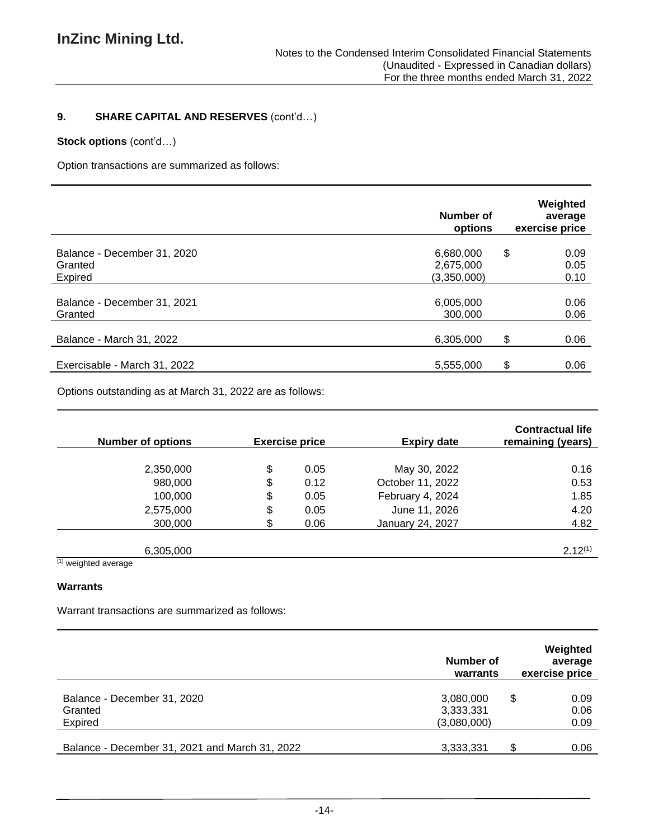# **9. SHARE CAPITAL AND RESERVES** (cont'd…)

# **Stock options** (cont'd…)

Option transactions are summarized as follows:

|                                                   | Number of<br>options                  | Weighted<br>average<br>exercise price |
|---------------------------------------------------|---------------------------------------|---------------------------------------|
| Balance - December 31, 2020<br>Granted<br>Expired | 6,680,000<br>2,675,000<br>(3,350,000) | \$<br>0.09<br>0.05<br>0.10            |
| Balance - December 31, 2021<br>Granted            | 6,005,000<br>300,000                  | 0.06<br>0.06                          |
| Balance - March 31, 2022                          | 6,305,000                             | \$<br>0.06                            |
| Exercisable - March 31, 2022                      | 5,555,000                             | \$<br>0.06                            |

Options outstanding as at March 31, 2022 are as follows:

| <b>Number of options</b>      |    | <b>Exercise price</b> | <b>Expiry date</b>      | <b>Contractual life</b><br>remaining (years) |
|-------------------------------|----|-----------------------|-------------------------|----------------------------------------------|
|                               |    |                       |                         |                                              |
| 2,350,000                     | \$ | 0.05                  | May 30, 2022            | 0.16                                         |
| 980,000                       | \$ | 0.12                  | October 11, 2022        | 0.53                                         |
| 100,000                       | \$ | 0.05                  | February 4, 2024        | 1.85                                         |
| 2,575,000                     | \$ | 0.05                  | June 11, 2026           | 4.20                                         |
| 300,000                       | S. | 0.06                  | <b>January 24, 2027</b> | 4.82                                         |
|                               |    |                       |                         |                                              |
| 6,305,000                     |    |                       |                         | $2.12^{(1)}$                                 |
| $(1)$ constants of accounting |    |                       |                         |                                              |

(1) weighted average

### **Warrants**

Warrant transactions are summarized as follows:

|                                                           | Number of<br>warrants    | Weighted<br>average<br>exercise price |  |
|-----------------------------------------------------------|--------------------------|---------------------------------------|--|
| Balance - December 31, 2020<br>Granted                    | 3,080,000<br>3,333,331   | \$<br>0.09<br>0.06                    |  |
| Expired<br>Balance - December 31, 2021 and March 31, 2022 | (3,080,000)<br>3,333,331 | 0.09<br>S.<br>0.06                    |  |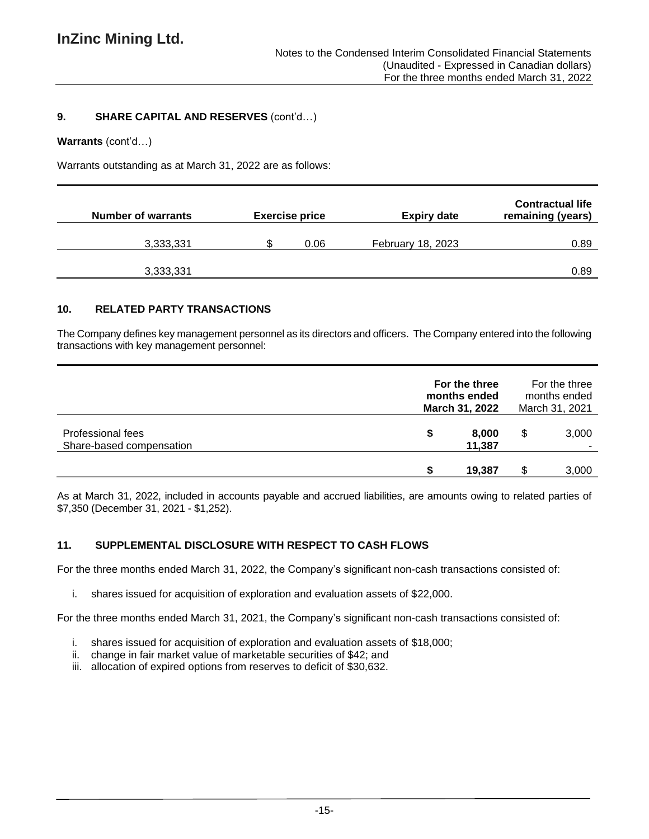### **9. SHARE CAPITAL AND RESERVES** (cont'd…)

#### **Warrants** (cont'd…)

Warrants outstanding as at March 31, 2022 are as follows:

| <b>Number of warrants</b> | <b>Exercise price</b> | <b>Expiry date</b>       | <b>Contractual life</b><br>remaining (years) |
|---------------------------|-----------------------|--------------------------|----------------------------------------------|
| 3,333,331                 | 0.06                  | <b>February 18, 2023</b> | 0.89                                         |
| 3,333,331                 |                       |                          | 0.89                                         |

## **10. RELATED PARTY TRANSACTIONS**

The Company defines key management personnel as its directors and officers. The Company entered into the following transactions with key management personnel:

|                                               |   | For the three<br>months ended<br>March 31, 2022 |    | For the three<br>months ended<br>March 31, 2021 |  |
|-----------------------------------------------|---|-------------------------------------------------|----|-------------------------------------------------|--|
| Professional fees<br>Share-based compensation | S | 8,000<br>11,387                                 | \$ | 3,000                                           |  |
|                                               |   | 19,387                                          | S  | 3,000                                           |  |

As at March 31, 2022, included in accounts payable and accrued liabilities, are amounts owing to related parties of \$7,350 (December 31, 2021 - \$1,252).

# **11. SUPPLEMENTAL DISCLOSURE WITH RESPECT TO CASH FLOWS**

For the three months ended March 31, 2022, the Company's significant non-cash transactions consisted of:

i. shares issued for acquisition of exploration and evaluation assets of \$22,000.

For the three months ended March 31, 2021, the Company's significant non-cash transactions consisted of:

- i. shares issued for acquisition of exploration and evaluation assets of \$18,000;
- ii. change in fair market value of marketable securities of \$42; and
- iii. allocation of expired options from reserves to deficit of \$30,632.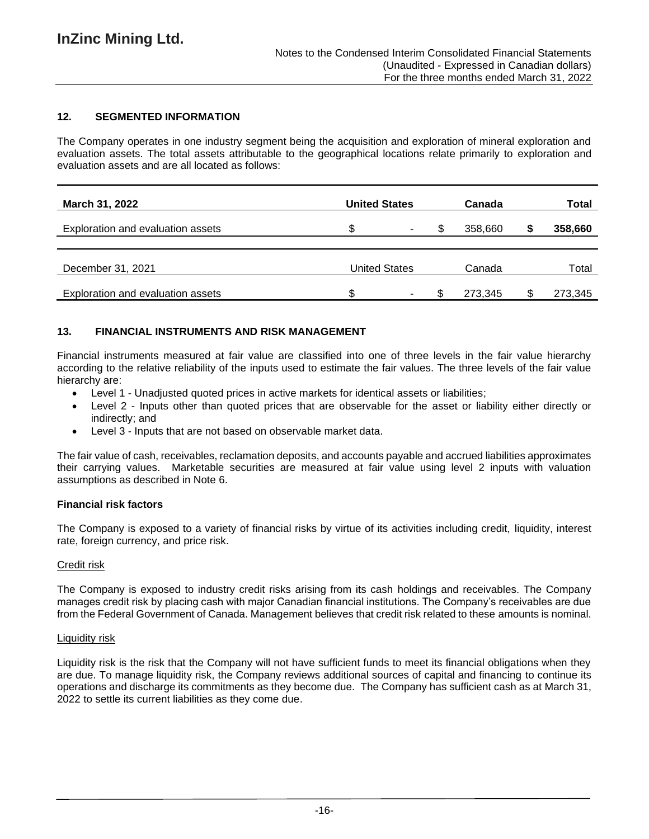# **12. SEGMENTED INFORMATION**

The Company operates in one industry segment being the acquisition and exploration of mineral exploration and evaluation assets. The total assets attributable to the geographical locations relate primarily to exploration and evaluation assets and are all located as follows:

| March 31, 2022                    | <b>United States</b> |  | Canada |         | Total |         |
|-----------------------------------|----------------------|--|--------|---------|-------|---------|
| Exploration and evaluation assets | ۰D                   |  |        | 358,660 |       | 358,660 |
|                                   |                      |  |        |         |       |         |
| December 31, 2021                 | <b>United States</b> |  | Canada |         | Total |         |
| Exploration and evaluation assets |                      |  | £.     | 273.345 |       | 273,345 |

## **13. FINANCIAL INSTRUMENTS AND RISK MANAGEMENT**

Financial instruments measured at fair value are classified into one of three levels in the fair value hierarchy according to the relative reliability of the inputs used to estimate the fair values. The three levels of the fair value hierarchy are:

- Level 1 Unadjusted quoted prices in active markets for identical assets or liabilities;
- Level 2 Inputs other than quoted prices that are observable for the asset or liability either directly or indirectly; and
- Level 3 Inputs that are not based on observable market data.

The fair value of cash, receivables, reclamation deposits, and accounts payable and accrued liabilities approximates their carrying values. Marketable securities are measured at fair value using level 2 inputs with valuation assumptions as described in Note 6.

### **Financial risk factors**

The Company is exposed to a variety of financial risks by virtue of its activities including credit, liquidity, interest rate, foreign currency, and price risk.

### Credit risk

The Company is exposed to industry credit risks arising from its cash holdings and receivables. The Company manages credit risk by placing cash with major Canadian financial institutions. The Company's receivables are due from the Federal Government of Canada. Management believes that credit risk related to these amounts is nominal.

### Liquidity risk

Liquidity risk is the risk that the Company will not have sufficient funds to meet its financial obligations when they are due. To manage liquidity risk, the Company reviews additional sources of capital and financing to continue its operations and discharge its commitments as they become due. The Company has sufficient cash as at March 31, 2022 to settle its current liabilities as they come due.